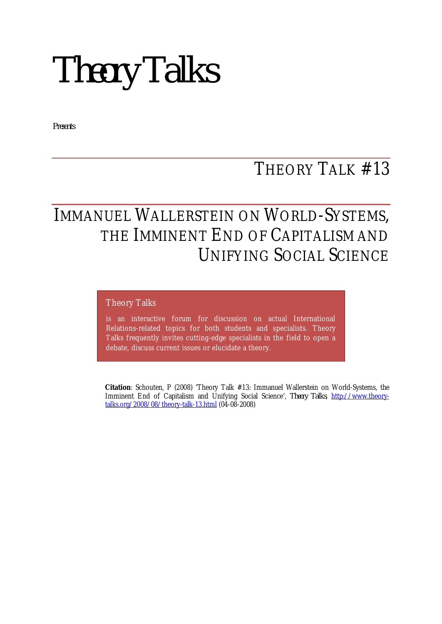*Theory Talks*

*Presents*

## THEORY TALK #13

## IMMANUEL WALLERSTEIN ON WORLD-SYSTEMS, THE IMMINENT END OF CAPITALISM AND UNIFYING SOCIAL SCIENCE

#### Theory Talks

is an interactive forum for discussion on actual International Relations-related topics for both students and specialists. Theory Talks frequently invites cutting-edge specialists in the field to open a debate, discuss current issues or elucidate a theory.

**Citation**: Schouten, P (2008) 'Theory Talk #13: Immanuel Wallerstein on World-Systems, the Imminent End of Capitalism and Unifying Social Science', *Theory Talks*, http://www.theorytalks.org/2008/08/theory-talk-13.html (04-08-2008)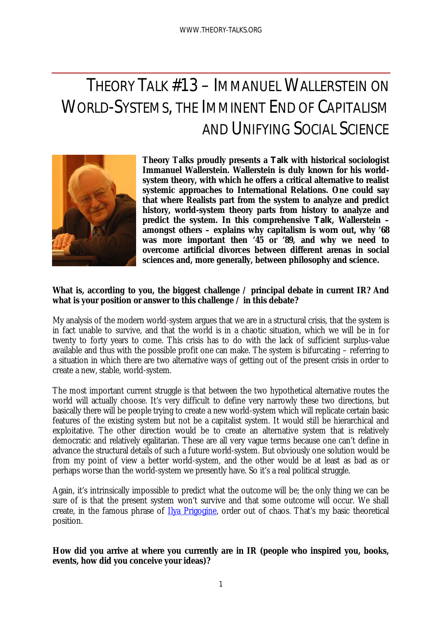# THEORY TALK #13 – IMMANUEL WALLERSTEIN ON WORLD-SYSTEMS, THE IMMINENT END OF CAPITALISM AND UNIFYING SOCIAL SCIENCE



**Theory Talks proudly presents a** *Talk* **with historical sociologist Immanuel Wallerstein. Wallerstein is duly known for his worldsystem theory, with which he offers a critical alternative to realist systemic approaches to International Relations. One could say that where Realists part from the system to analyze and predict history, world-system theory parts from history to analyze and predict the system. In this comprehensive** *Talk***, Wallerstein – amongst others – explains why capitalism is worn out, why '68 was more important then '45 or '89, and why we need to overcome artificial divorces between different arenas in social sciences and, more generally, between philosophy and science.**

## **What is, according to you, the biggest challenge / principal debate in current IR? And what is your position or answer to this challenge / in this debate?**

My analysis of the modern world-system argues that we are in a structural crisis, that the system is in fact unable to survive, and that the world is in a chaotic situation, which we will be in for twenty to forty years to come. This crisis has to do with the lack of sufficient surplus-value available and thus with the possible profit one can make. The system is bifurcating – referring to a situation in which there are two alternative ways of getting out of the present crisis in order to create a new, stable, world-system.

The most important current struggle is that between the two hypothetical alternative routes the world will actually choose. It's very difficult to define very narrowly these two directions, but basically there will be people trying to create a new world-system which will replicate certain basic features of the existing system but not be a capitalist system. It would still be hierarchical and exploitative. The other direction would be to create an alternative system that is relatively democratic and relatively egalitarian. These are all very vague terms because one can't define in advance the structural details of such a future world-system. But obviously one solution would be from my point of view a better world-system, and the other would be at least as bad as or perhaps worse than the world-system we presently have. So it's a real political struggle.

Again, it's intrinsically impossible to predict what the outcome will be; the only thing we can be sure of is that the present system won't survive and that some outcome will occur. We shall create, in the famous phrase of Ilya Prigogine, order out of chaos. That's my basic theoretical position.

## **How did you arrive at where you currently are in IR (people who inspired you, books, events, how did you conceive your ideas)?**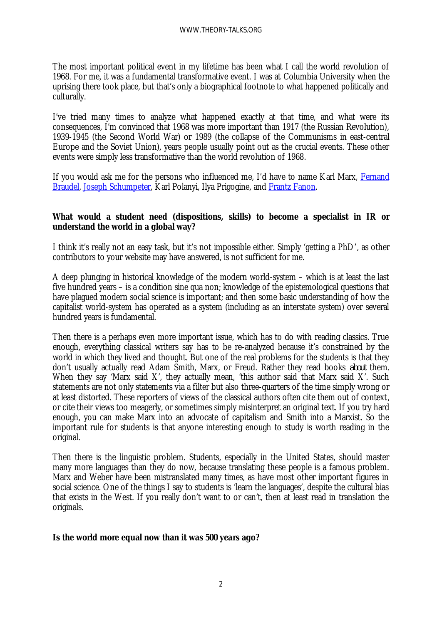The most important political event in my lifetime has been what I call the world revolution of 1968. For me, it was a fundamental transformative event. I was at Columbia University when the uprising there took place, but that's only a biographical footnote to what happened politically and culturally.

I've tried many times to analyze what happened exactly at that time, and what were its consequences, I'm convinced that 1968 was more important than 1917 (the Russian Revolution), 1939-1945 (the Second World War) or 1989 (the collapse of the Communisms in east-central Europe and the Soviet Union), years people usually point out as the crucial events. These other events were simply less transformative than the world revolution of 1968.

If you would ask me for the persons who influenced me, I'd have to name Karl Marx, Fernand Braudel, Joseph Schumpeter, Karl Polanyi, Ilya Prigogine, and Frantz Fanon.

## **What would a student need (dispositions, skills) to become a specialist in IR or understand the world in a global way?**

I think it's really not an easy task, but it's not impossible either. Simply 'getting a PhD', as other contributors to your website may have answered, is not sufficient for me.

A deep plunging in historical knowledge of the modern world-system – which is at least the last five hundred years – is a condition sine qua non; knowledge of the epistemological questions that have plagued modern social science is important; and then some basic understanding of how the capitalist world-system has operated as a system (including as an interstate system) over several hundred years is fundamental.

Then there is a perhaps even more important issue, which has to do with reading classics. True enough, everything classical writers say has to be re-analyzed because it's constrained by the world in which they lived and thought. But one of the real problems for the students is that they don't usually actually read Adam Smith, Marx, or Freud. Rather they read books *about* them. When they say 'Marx said X', they actually mean, 'this author said that Marx said X'. Such statements are not only statements via a filter but also three-quarters of the time simply wrong or at least distorted. These reporters of views of the classical authors often cite them out of context, or cite their views too meagerly, or sometimes simply misinterpret an original text. If you try hard enough, you can make Marx into an advocate of capitalism and Smith into a Marxist. So the important rule for students is that anyone interesting enough to study is worth reading in the original.

Then there is the linguistic problem. Students, especially in the United States, should master many more languages than they do now, because translating these people is a famous problem. Marx and Weber have been mistranslated many times, as have most other important figures in social science. One of the things I say to students is 'learn the languages', despite the cultural bias that exists in the West. If you really don't want to or can't, then at least read in translation the originals.

## **Is the world more equal now than it was 500 years ago?**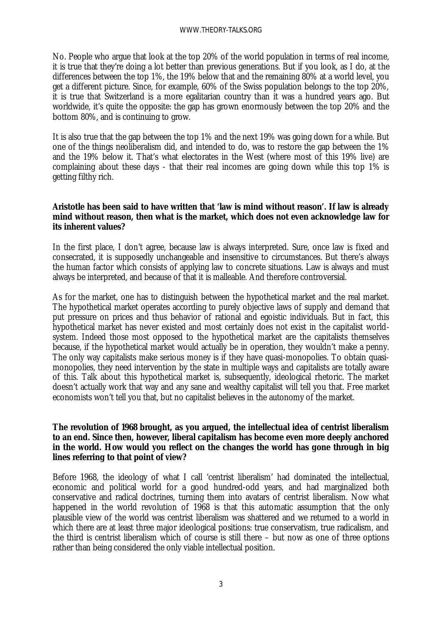No. People who argue that look at the top 20% of the world population in terms of real income, it is true that they're doing a lot better than previous generations. But if you look, as I do, at the differences between the top 1%, the 19% below that and the remaining 80% at a world level, you get a different picture. Since, for example, 60% of the Swiss population belongs to the top 20%, it is true that Switzerland is a more egalitarian country than it was a hundred years ago. But worldwide, it's quite the opposite: the gap has grown enormously between the top 20% and the bottom 80%, and is continuing to grow.

It is also true that the gap between the top 1% and the next 19% was going down for a while. But one of the things neoliberalism did, and intended to do, was to restore the gap between the 1% and the 19% below it. That's what electorates in the West (where most of this 19% live) are complaining about these days - that their real incomes are going down while this top 1% is getting filthy rich.

#### **Aristotle has been said to have written that 'law is mind without reason'. If law is already mind without reason, then what is the market, which does not even acknowledge law for its inherent values?**

In the first place, I don't agree, because law is always interpreted. Sure, once law is fixed and consecrated, it is supposedly unchangeable and insensitive to circumstances. But there's always the human factor which consists of applying law to concrete situations. Law is always and must always be interpreted, and because of that it is malleable. And therefore controversial.

As for the market, one has to distinguish between the hypothetical market and the real market. The hypothetical market operates according to purely objective laws of supply and demand that put pressure on prices and thus behavior of rational and egoistic individuals. But in fact, this hypothetical market has never existed and most certainly does not exist in the capitalist worldsystem. Indeed those most opposed to the hypothetical market are the capitalists themselves because, if the hypothetical market would actually be in operation, they wouldn't make a penny. The only way capitalists make serious money is if they have quasi-monopolies. To obtain quasimonopolies, they need intervention by the state in multiple ways and capitalists are totally aware of this. Talk about this hypothetical market is, subsequently, ideological rhetoric. The market doesn't actually work that way and any sane and wealthy capitalist will tell you that. Free market economists won't tell you that, but no capitalist believes in the autonomy of the market.

### **The revolution of 1968 brought, as you argued, the intellectual idea of centrist liberalism to an end. Since then, however, liberal capitalism has become even more deeply anchored in the world. How would you reflect on the changes the world has gone through in big lines referring to that point of view?**

Before 1968, the ideology of what I call 'centrist liberalism' had dominated the intellectual, economic and political world for a good hundred-odd years, and had marginalized both conservative and radical doctrines, turning them into avatars of centrist liberalism. Now what happened in the world revolution of 1968 is that this automatic assumption that the only plausible view of the world was centrist liberalism was shattered and we returned to a world in which there are at least three major ideological positions: true conservatism, true radicalism, and the third is centrist liberalism which of course is still there – but now as one of three options rather than being considered the only viable intellectual position.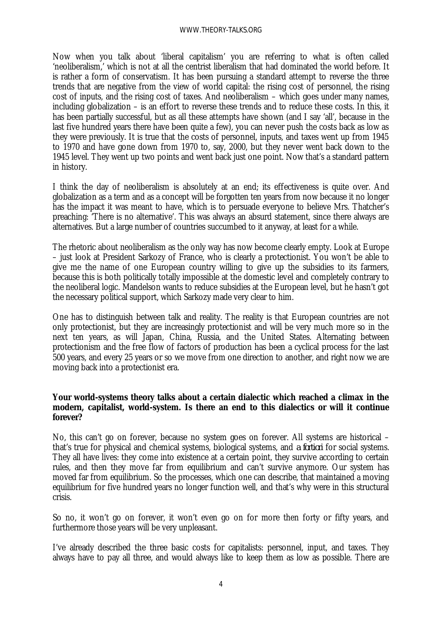#### WWW.THEORY-TALKS.ORG

Now when you talk about 'liberal capitalism' you are referring to what is often called 'neoliberalism,' which is not at all the centrist liberalism that had dominated the world before. It is rather a form of conservatism. It has been pursuing a standard attempt to reverse the three trends that are negative from the view of world capital: the rising cost of personnel, the rising cost of inputs, and the rising cost of taxes. And neoliberalism – which goes under many names, including globalization – is an effort to reverse these trends and to reduce these costs. In this, it has been partially successful, but as all these attempts have shown (and I say 'all', because in the last five hundred years there have been quite a few), you can never push the costs back as low as they were previously. It is true that the costs of personnel, inputs, and taxes went up from 1945 to 1970 and have gone down from 1970 to, say, 2000, but they never went back down to the 1945 level. They went up two points and went back just one point. Now that's a standard pattern in history.

I think the day of neoliberalism is absolutely at an end; its effectiveness is quite over. And globalization as a term and as a concept will be forgotten ten years from now because it no longer has the impact it was meant to have, which is to persuade everyone to believe Mrs. Thatcher's preaching: 'There is no alternative'. This was always an absurd statement, since there always are alternatives. But a large number of countries succumbed to it anyway, at least for a while.

The rhetoric about neoliberalism as the only way has now become clearly empty. Look at Europe – just look at President Sarkozy of France, who is clearly a protectionist. You won't be able to give me the name of one European country willing to give up the subsidies to its farmers, because this is both politically totally impossible at the domestic level and completely contrary to the neoliberal logic. Mandelson wants to reduce subsidies at the European level, but he hasn't got the necessary political support, which Sarkozy made very clear to him.

One has to distinguish between talk and reality. The reality is that European countries are not only protectionist, but they are increasingly protectionist and will be very much more so in the next ten years, as will Japan, China, Russia, and the United States. Alternating between protectionism and the free flow of factors of production has been a cyclical process for the last 500 years, and every 25 years or so we move from one direction to another, and right now we are moving back into a protectionist era.

#### **Your world-systems theory talks about a certain dialectic which reached a climax in the modern, capitalist, world-system. Is there an end to this dialectics or will it continue forever?**

No, this can't go on forever, because no system goes on forever. All systems are historical – that's true for physical and chemical systems, biological systems, and *a fortiori* for social systems. They all have lives: they come into existence at a certain point, they survive according to certain rules, and then they move far from equilibrium and can't survive anymore. Our system has moved far from equilibrium. So the processes, which one can describe, that maintained a moving equilibrium for five hundred years no longer function well, and that's why were in this structural crisis.

So no, it won't go on forever, it won't even go on for more then forty or fifty years, and furthermore those years will be very unpleasant.

I've already described the three basic costs for capitalists: personnel, input, and taxes. They always have to pay all three, and would always like to keep them as low as possible. There are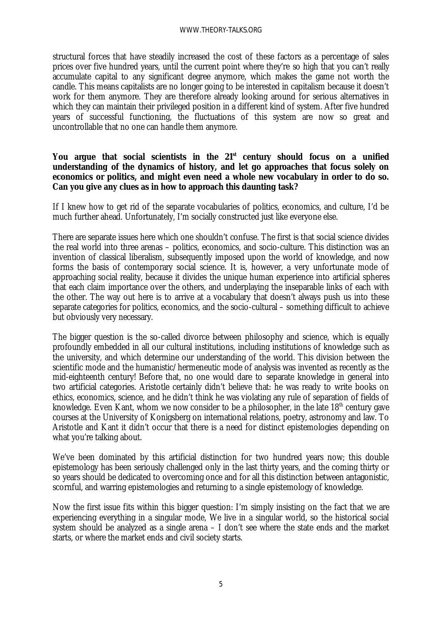structural forces that have steadily increased the cost of these factors as a percentage of sales prices over five hundred years, until the current point where they're so high that you can't really accumulate capital to any significant degree anymore, which makes the game not worth the candle. This means capitalists are no longer going to be interested in capitalism because it doesn't work for them anymore. They are therefore already looking around for serious alternatives in which they can maintain their privileged position in a different kind of system. After five hundred years of successful functioning, the fluctuations of this system are now so great and uncontrollable that no one can handle them anymore.

#### **You argue that social scientists in the 21st century should focus on a unified understanding of the dynamics of history, and let go approaches that focus solely on economics or politics, and might even need a whole new vocabulary in order to do so. Can you give any clues as in how to approach this daunting task?**

If I knew how to get rid of the separate vocabularies of politics, economics, and culture, I'd be much further ahead. Unfortunately, I'm socially constructed just like everyone else.

There are separate issues here which one shouldn't confuse. The first is that social science divides the real world into three arenas – politics, economics, and socio-culture. This distinction was an invention of classical liberalism, subsequently imposed upon the world of knowledge, and now forms the basis of contemporary social science. It is, however, a very unfortunate mode of approaching social reality, because it divides the unique human experience into artificial spheres that each claim importance over the others, and underplaying the inseparable links of each with the other. The way out here is to arrive at a vocabulary that doesn't always push us into these separate categories for politics, economics, and the socio-cultural – something difficult to achieve but obviously very necessary.

The bigger question is the so-called divorce between philosophy and science, which is equally profoundly embedded in all our cultural institutions, including institutions of knowledge such as the university, and which determine our understanding of the world. This division between the scientific mode and the humanistic/hermeneutic mode of analysis was invented as recently as the mid-eighteenth century! Before that, no one would dare to separate knowledge in general into two artificial categories. Aristotle certainly didn't believe that: he was ready to write books on ethics, economics, science, and he didn't think he was violating any rule of separation of fields of knowledge. Even Kant, whom we now consider to be a philosopher, in the late  $18<sup>th</sup>$  century gave courses at the University of Konigsberg on international relations, poetry, astronomy and law. To Aristotle and Kant it didn't occur that there is a need for distinct epistemologies depending on what you're talking about.

We've been dominated by this artificial distinction for two hundred years now; this double epistemology has been seriously challenged only in the last thirty years, and the coming thirty or so years should be dedicated to overcoming once and for all this distinction between antagonistic, scornful, and warring epistemologies and returning to a single epistemology of knowledge.

Now the first issue fits within this bigger question: I'm simply insisting on the fact that we are experiencing everything in a singular mode, We live in a singular world, so the historical social system should be analyzed as a single arena – I don't see where the state ends and the market starts, or where the market ends and civil society starts.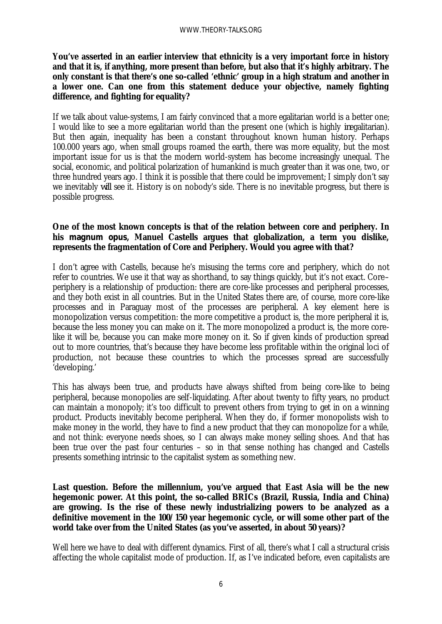**You've asserted in an earlier interview that ethnicity is a very important force in history and that it is, if anything, more present than before, but also that it's highly arbitrary. The only constant is that there's one so-called 'ethnic' group in a high stratum and another in a lower one. Can one from this statement deduce your objective, namely fighting difference, and fighting for equality?**

If we talk about value-systems, I am fairly convinced that a more egalitarian world is a better one; I would like to see a more egalitarian world than the present one (which is highly *in*egalitarian). But then again, inequality has been a constant throughout known human history. Perhaps 100.000 years ago, when small groups roamed the earth, there was more equality, but the most important issue for us is that the modern world-system has become increasingly unequal. The social, economic, and political polarization of humankind is much greater than it was one, two, or three hundred years ago. I think it is possible that there could be improvement; I simply don't say we inevitably *will* see it. History is on nobody's side. There is no inevitable progress, but there is possible progress.

## **One of the most known concepts is that of the relation between core and periphery. In his** *magnum opus***, Manuel Castells argues that globalization, a term you dislike, represents the fragmentation of Core and Periphery. Would you agree with that?**

I don't agree with Castells, because he's misusing the terms core and periphery, which do not refer to countries. We use it that way as shorthand, to say things quickly, but it's not exact. Core– periphery is a relationship of production: there are core-like processes and peripheral processes, and they both exist in all countries. But in the United States there are, of course, more core-like processes and in Paraguay most of the processes are peripheral. A key element here is monopolization versus competition: the more competitive a product is, the more peripheral it is, because the less money you can make on it. The more monopolized a product is, the more corelike it will be, because you can make more money on it. So if given kinds of production spread out to more countries, that's because they have become less profitable within the original loci of production, not because these countries to which the processes spread are successfully 'developing.'

This has always been true, and products have always shifted from being core-like to being peripheral, because monopolies are self-liquidating. After about twenty to fifty years, no product can maintain a monopoly; it's too difficult to prevent others from trying to get in on a winning product. Products inevitably become peripheral. When they do, if former monopolists wish to make money in the world, they have to find a new product that they can monopolize for a while, and not think: everyone needs shoes, so I can always make money selling shoes. And that has been true over the past four centuries – so in that sense nothing has changed and Castells presents something intrinsic to the capitalist system as something new.

**Last question. Before the millennium, you've argued that East Asia will be the new hegemonic power. At this point, the so-called BRICs (Brazil, Russia, India and China) are growing. Is the rise of these newly industrializing powers to be analyzed as a definitive movement in the 100/150 year hegemonic cycle, or will some other part of the world take over from the United States (as you've asserted, in about 50 years)?**

Well here we have to deal with different dynamics. First of all, there's what I call a structural crisis affecting the whole capitalist mode of production. If, as I've indicated before, even capitalists are